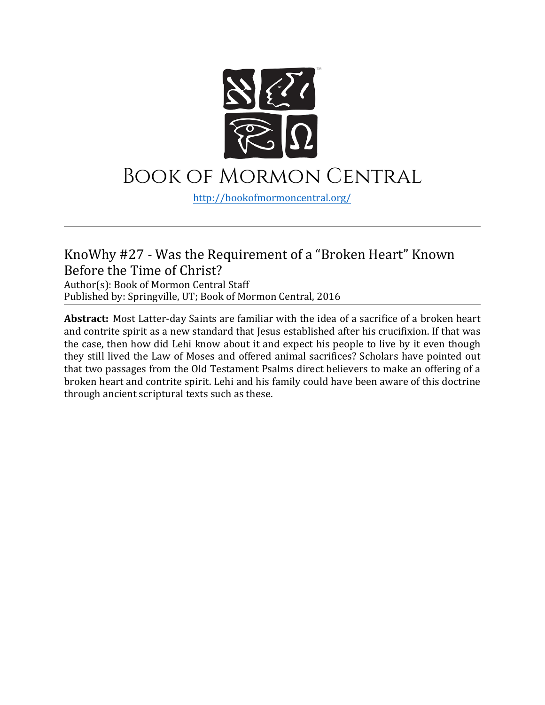

## Book of Mormon Central

[http://bookofmormoncentral.](http://bookofmormoncentral.com/)org/

## KnoWhy #27 - Was the Requirement of a "Broken Heart" Known Before the Time of Christ?

Author(s): Book of Mormon Central Staff Published by: Springville, UT; Book of Mormon Central, 2016

**Abstract:** Most Latter-day Saints are familiar with the idea of a sacrifice of a broken heart and contrite spirit as a new standard that Jesus established after his crucifixion. If that was the case, then how did Lehi know about it and expect his people to live by it even though they still lived the Law of Moses and offered animal sacrifices? Scholars have pointed out that two passages from the Old Testament Psalms direct believers to make an offering of a broken heart and contrite spirit. Lehi and his family could have been aware of this doctrine through ancient scriptural texts such as these.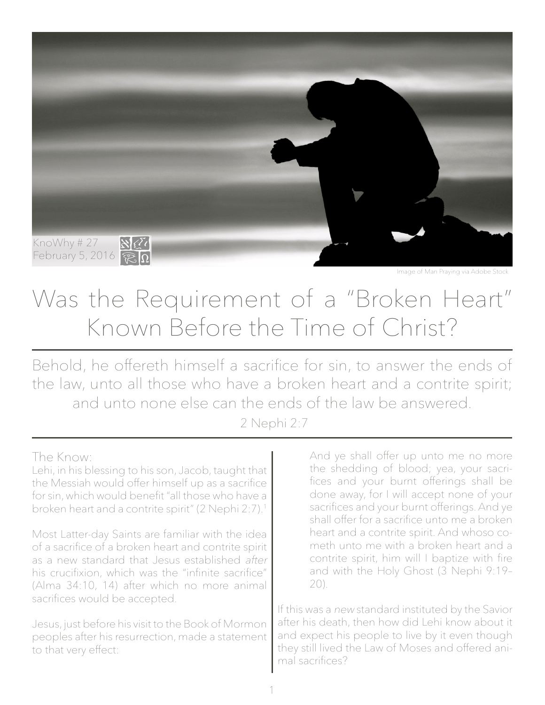

Was the Requirement of a "Broken Heart" Known Before the Time of Christ?

Behold, he offereth himself a sacrifice for sin, to answer the ends of the law, unto all those who have a broken heart and a contrite spirit; and unto none else can the ends of the law be answered.

2 Nephi 2:7

## The Know:

Lehi, in his blessing to his son, Jacob, taught that the Messiah would offer himself up as a sacrifice for sin, which would benefit "all those who have a broken heart and a contrite spirit" (2 Nephi 2:7).1

Most Latter-day Saints are familiar with the idea of a sacrifice of a broken heart and contrite spirit as a new standard that Jesus established after his crucifixion, which was the "infinite sacrifice" (Alma 34:10, 14) after which no more animal sacrifices would be accepted.

Jesus, just before his visit to the Book of Mormon peoples after his resurrection, made a statement to that very effect:

And ye shall offer up unto me no more the shedding of blood; yea, your sacrifices and your burnt offerings shall be done away, for I will accept none of your sacrifices and your burnt offerings. And ye shall offer for a sacrifice unto me a broken heart and a contrite spirit. And whoso cometh unto me with a broken heart and a contrite spirit, him will I baptize with fire and with the Holy Ghost (3 Nephi 9:19– 20).

If this was a new standard instituted by the Savior after his death, then how did Lehi know about it and expect his people to live by it even though they still lived the Law of Moses and offered animal sacrifices?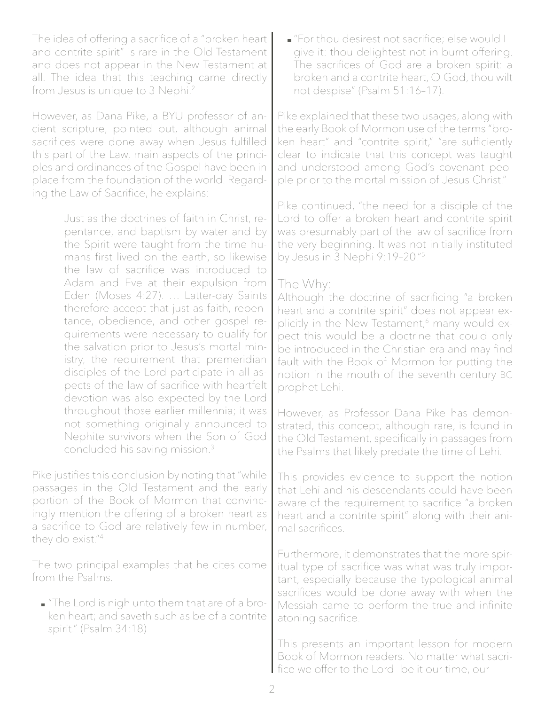The idea of offering a sacrifice of a "broken heart and contrite spirit" is rare in the Old Testament and does not appear in the New Testament at all. The idea that this teaching came directly from Jesus is unique to 3 Nephi.<sup>2</sup>

However, as Dana Pike, a BYU professor of ancient scripture, pointed out, although animal sacrifices were done away when Jesus fulfilled this part of the Law, main aspects of the principles and ordinances of the Gospel have been in place from the foundation of the world. Regarding the Law of Sacrifice, he explains:

> Just as the doctrines of faith in Christ, repentance, and baptism by water and by the Spirit were taught from the time humans first lived on the earth, so likewise the law of sacrifice was introduced to Adam and Eve at their expulsion from Eden (Moses 4:27). … Latter-day Saints therefore accept that just as faith, repentance, obedience, and other gospel requirements were necessary to qualify for the salvation prior to Jesus's mortal ministry, the requirement that premeridian disciples of the Lord participate in all aspects of the law of sacrifice with heartfelt devotion was also expected by the Lord throughout those earlier millennia; it was not something originally announced to Nephite survivors when the Son of God concluded his saving mission.3

Pike justifies this conclusion by noting that "while passages in the Old Testament and the early portion of the Book of Mormon that convincingly mention the offering of a broken heart as a sacrifice to God are relatively few in number, they do exist."<sup>4</sup>

The two principal examples that he cites come from the Psalms.

"The Lord is nigh unto them that are of a broken heart; and saveth such as be of a contrite spirit." (Psalm 34:18)

"For thou desirest not sacrifice; else would I give it: thou delightest not in burnt offering. The sacrifices of God are a broken spirit: a broken and a contrite heart, O God, thou wilt not despise" (Psalm 51:16–17).

Pike explained that these two usages, along with the early Book of Mormon use of the terms "broken heart" and "contrite spirit," "are sufficiently clear to indicate that this concept was taught and understood among God's covenant people prior to the mortal mission of Jesus Christ."

Pike continued, "the need for a disciple of the Lord to offer a broken heart and contrite spirit was presumably part of the law of sacrifice from the very beginning. It was not initially instituted by Jesus in 3 Nephi 9:19–20."5

## The Why:

Although the doctrine of sacrificing "a broken heart and a contrite spirit" does not appear explicitly in the New Testament,<sup>6</sup> many would expect this would be a doctrine that could only be introduced in the Christian era and may find fault with the Book of Mormon for putting the notion in the mouth of the seventh century BC prophet Lehi.

However, as Professor Dana Pike has demonstrated, this concept, although rare, is found in the Old Testament, specifically in passages from the Psalms that likely predate the time of Lehi.

This provides evidence to support the notion that Lehi and his descendants could have been aware of the requirement to sacrifice "a broken heart and a contrite spirit" along with their animal sacrifices.

Furthermore, it demonstrates that the more spiritual type of sacrifice was what was truly important, especially because the typological animal sacrifices would be done away with when the Messiah came to perform the true and infinite atoning sacrifice.

This presents an important lesson for modern Book of Mormon readers. No matter what sacrifice we offer to the Lord—be it our time, our